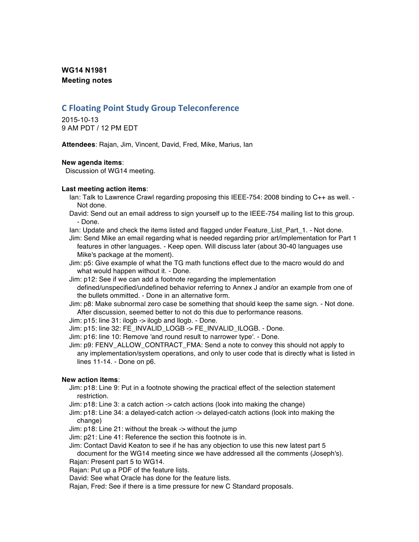## **WG14 N1981 Meeting notes**

# **C Floating Point Study Group Teleconference**

2015-10-13 9 AM PDT / 12 PM EDT

**Attendees**: Rajan, Jim, Vincent, David, Fred, Mike, Marius, Ian

### **New agenda items**:

Discussion of WG14 meeting.

### **Last meeting action items**:

- Ian: Talk to Lawrence Crawl regarding proposing this IEEE-754: 2008 binding to C++ as well. Not done.
- David: Send out an email address to sign yourself up to the IEEE-754 mailing list to this group. - Done.
- Ian: Update and check the items listed and flagged under Feature List Part 1. Not done.
- Jim: Send Mike an email regarding what is needed regarding prior art/implementation for Part 1 features in other languages. - Keep open. Will discuss later (about 30-40 languages use Mike's package at the moment).
- Jim: p5: Give example of what the TG math functions effect due to the macro would do and what would happen without it. - Done.
- Jim: p12: See if we can add a footnote regarding the implementation defined/unspecified/undefined behavior referring to Annex J and/or an example from one of the bullets ommitted. - Done in an alternative form.

Jim: p8: Make subnormal zero case be something that should keep the same sign. - Not done. After discussion, seemed better to not do this due to performance reasons.

Jim: p15: line 31: ilogb -> ilogb and llogb. - Done.

Jim: p15: line 32: FE\_INVALID\_LOGB -> FE\_INVALID\_ILOGB. - Done.

Jim: p16: line 10: Remove 'and round result to narrower type'. - Done.

Jim: p9: FENV\_ALLOW\_CONTRACT\_FMA: Send a note to convey this should not apply to any implementation/system operations, and only to user code that is directly what is listed in lines 11-14. - Done on p6.

### **New action items**:

- Jim: p18: Line 9: Put in a footnote showing the practical effect of the selection statement restriction.
- Jim: p18: Line 3: a catch action -> catch actions (look into making the change)
- Jim: p18: Line 34: a delayed-catch action -> delayed-catch actions (look into making the change)
- Jim: p18: Line 21: without the break -> without the jump
- Jim: p21: Line 41: Reference the section this footnote is in.
- Jim: Contact David Keaton to see if he has any objection to use this new latest part 5 document for the WG14 meeting since we have addressed all the comments (Joseph's).
- Rajan: Present part 5 to WG14.
- Rajan: Put up a PDF of the feature lists.
- David: See what Oracle has done for the feature lists.
- Rajan, Fred: See if there is a time pressure for new C Standard proposals.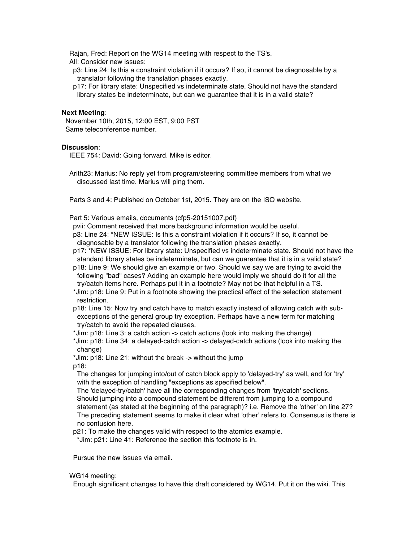Rajan, Fred: Report on the WG14 meeting with respect to the TS's.

All: Consider new issues:

p3: Line 24: Is this a constraint violation if it occurs? If so, it cannot be diagnosable by a translator following the translation phases exactly.

p17: For library state: Unspecified vs indeterminate state. Should not have the standard library states be indeterminate, but can we guarantee that it is in a valid state?

#### **Next Meeting**:

November 10th, 2015, 12:00 EST, 9:00 PST Same teleconference number.

#### **Discussion**:

IEEE 754: David: Going forward. Mike is editor.

Arith23: Marius: No reply yet from program/steering committee members from what we discussed last time. Marius will ping them.

Parts 3 and 4: Published on October 1st, 2015. They are on the ISO website.

Part 5: Various emails, documents (cfp5-20151007.pdf)

pvii: Comment received that more background information would be useful.

p3: Line 24: \*NEW ISSUE: Is this a constraint violation if it occurs? If so, it cannot be diagnosable by a translator following the translation phases exactly.

p17: \*NEW ISSUE: For library state: Unspecified vs indeterminate state. Should not have the standard library states be indeterminate, but can we guarentee that it is in a valid state?

- p18: Line 9: We should give an example or two. Should we say we are trying to avoid the following "bad" cases? Adding an example here would imply we should do it for all the try/catch items here. Perhaps put it in a footnote? May not be that helpful in a TS.
- \*Jim: p18: Line 9: Put in a footnote showing the practical effect of the selection statement restriction.

p18: Line 15: Now try and catch have to match exactly instead of allowing catch with subexceptions of the general group try exception. Perhaps have a new term for matching try/catch to avoid the repeated clauses.

\*Jim: p18: Line 3: a catch action -> catch actions (look into making the change)

\*Jim: p18: Line 34: a delayed-catch action -> delayed-catch actions (look into making the change)

\*Jim: p18: Line 21: without the break -> without the jump

p18:

The changes for jumping into/out of catch block apply to 'delayed-try' as well, and for 'try' with the exception of handling "exceptions as specified below".

The 'delayed-try/catch' have all the corresponding changes from 'try/catch' sections. Should jumping into a compound statement be different from jumping to a compound statement (as stated at the beginning of the paragraph)? i.e. Remove the 'other' on line 27? The preceding statement seems to make it clear what 'other' refers to. Consensus is there is no confusion here.

p21: To make the changes valid with respect to the atomics example.

\*Jim: p21: Line 41: Reference the section this footnote is in.

Pursue the new issues via email.

#### WG14 meeting:

Enough significant changes to have this draft considered by WG14. Put it on the wiki. This